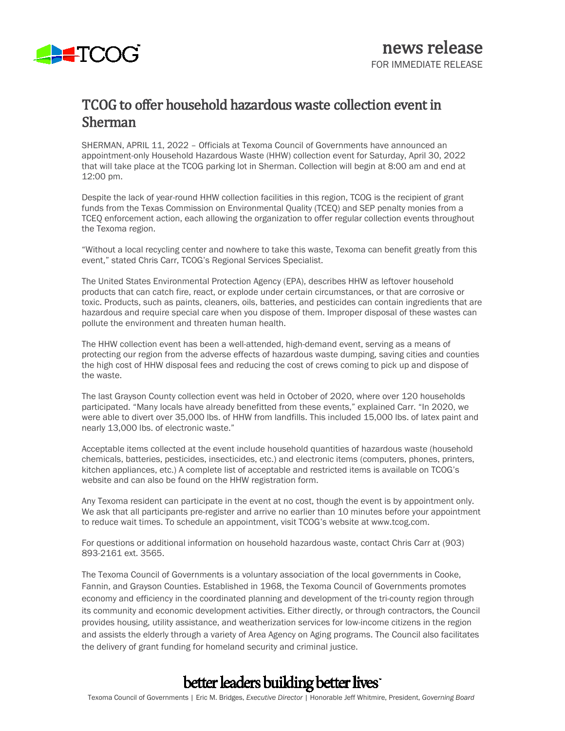

### TCOG to offer household hazardous waste collection event in Sherman

SHERMAN, APRIL 11, 2022 – Officials at Texoma Council of Governments have announced an appointment-only Household Hazardous Waste (HHW) collection event for Saturday, April 30, 2022 that will take place at the TCOG parking lot in Sherman. Collection will begin at 8:00 am and end at 12:00 pm.

Despite the lack of year-round HHW collection facilities in this region, TCOG is the recipient of grant funds from the Texas Commission on Environmental Quality (TCEQ) and SEP penalty monies from a TCEQ enforcement action, each allowing the organization to offer regular collection events throughout the Texoma region.

"Without a local recycling center and nowhere to take this waste, Texoma can benefit greatly from this event," stated Chris Carr, TCOG's Regional Services Specialist.

The United States Environmental Protection Agency (EPA), describes HHW as leftover household products that can catch fire, react, or explode under certain circumstances, or that are corrosive or toxic. Products, such as paints, cleaners, oils, batteries, and pesticides can contain ingredients that are hazardous and require special care when you dispose of them. Improper disposal of these wastes can pollute the environment and threaten human health.

The HHW collection event has been a well-attended, high-demand event, serving as a means of protecting our region from the adverse effects of hazardous waste dumping, saving cities and counties the high cost of HHW disposal fees and reducing the cost of crews coming to pick up and dispose of the waste.

The last Grayson County collection event was held in October of 2020, where over 120 households participated. "Many locals have already benefitted from these events," explained Carr. "In 2020, we were able to divert over 35,000 lbs. of HHW from landfills. This included 15,000 lbs. of latex paint and nearly 13,000 lbs. of electronic waste."

Acceptable items collected at the event include household quantities of hazardous waste (household chemicals, batteries, pesticides, insecticides, etc.) and electronic items (computers, phones, printers, kitchen appliances, etc.) A complete list of acceptable and restricted items is available on TCOG's website and can also be found on the HHW registration form.

Any Texoma resident can participate in the event at no cost, though the event is by appointment only. We ask that all participants pre-register and arrive no earlier than 10 minutes before your appointment to reduce wait times. To schedule an appointment, visit TCOG's website at www.tcog.com.

For questions or additional information on household hazardous waste, contact Chris Carr at (903) 893-2161 ext. 3565.

The Texoma Council of Governments is a voluntary association of the local governments in Cooke, Fannin, and Grayson Counties. Established in 1968, the Texoma Council of Governments promotes economy and efficiency in the coordinated planning and development of the tri-county region through its community and economic development activities. Either directly, or through contractors, the Council provides housing, utility assistance, and weatherization services for low-income citizens in the region and assists the elderly through a variety of Area Agency on Aging programs. The Council also facilitates the delivery of grant funding for homeland security and criminal justice.

## better leaders building better lives

Texoma Council of Governments | Eric M. Bridges, *Executive Director* | Honorable Jeff Whitmire, President, *Governing Board*